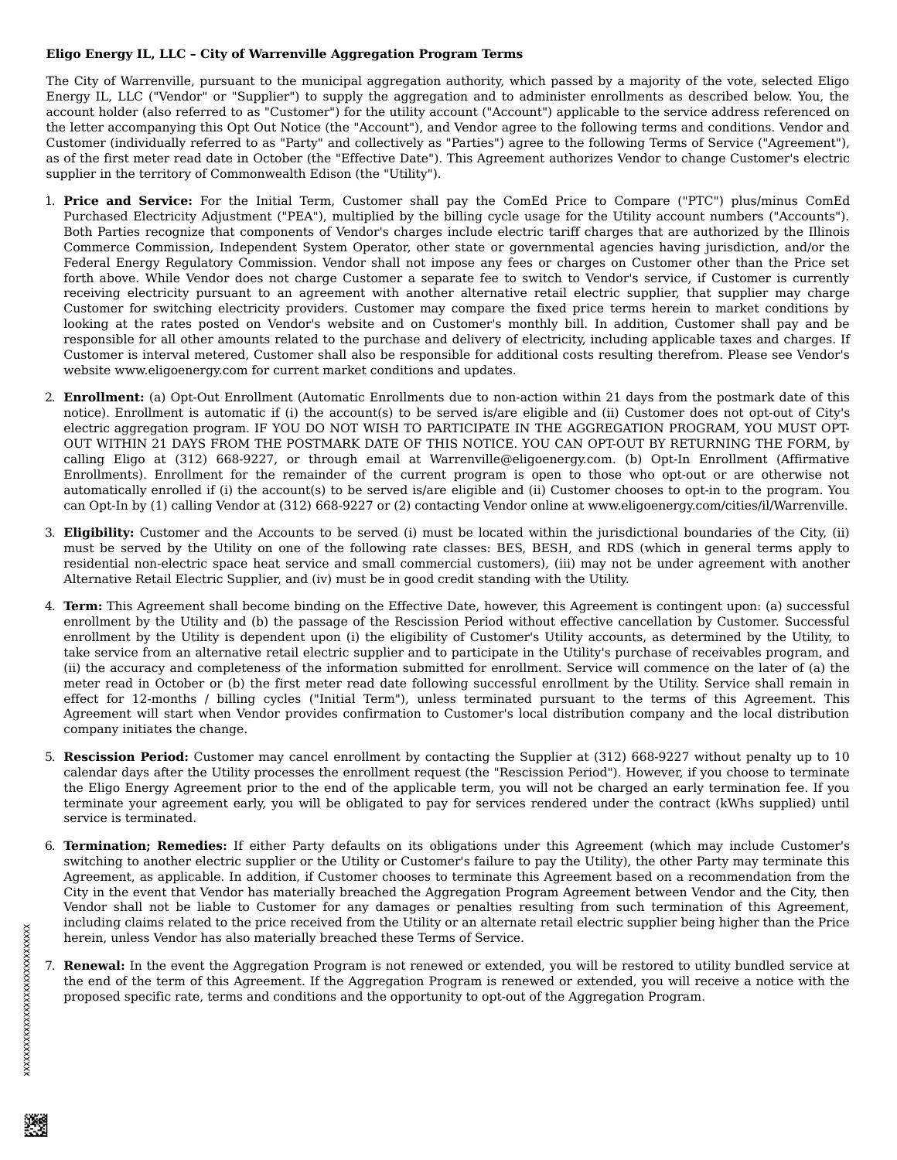## **Eligo Energy IL, LLC – City of Warrenville Aggregation Program Terms**

The City of Warrenville, pursuant to the municipal aggregation authority, which passed by a majority of the vote, selected Eligo Energy IL, LLC ("Vendor" or "Supplier") to supply the aggregation and to administer enrollments as described below. You, the account holder (also referred to as "Customer") for the utility account ("Account") applicable to the service address referenced on the letter accompanying this Opt Out Notice (the "Account"), and Vendor agree to the following terms and conditions. Vendor and Customer (individually referred to as "Party" and collectively as "Parties") agree to the following Terms of Service ("Agreement"), as of the first meter read date in October (the "Effective Date"). This Agreement authorizes Vendor to change Customer's electric supplier in the territory of Commonwealth Edison (the "Utility").

- 1. **Price and Service:** For the Initial Term, Customer shall pay the ComEd Price to Compare ("PTC") plus/minus ComEd Purchased Electricity Adjustment ("PEA"), multiplied by the billing cycle usage for the Utility account numbers ("Accounts"). Both Parties recognize that components of Vendor's charges include electric tariff charges that are authorized by the Illinois Commerce Commission, Independent System Operator, other state or governmental agencies having jurisdiction, and/or the Federal Energy Regulatory Commission. Vendor shall not impose any fees or charges on Customer other than the Price set forth above. While Vendor does not charge Customer a separate fee to switch to Vendor's service, if Customer is currently receiving electricity pursuant to an agreement with another alternative retail electric supplier, that supplier may charge Customer for switching electricity providers. Customer may compare the fixed price terms herein to market conditions by looking at the rates posted on Vendor's website and on Customer's monthly bill. In addition, Customer shall pay and be responsible for all other amounts related to the purchase and delivery of electricity, including applicable taxes and charges. If Customer is interval metered, Customer shall also be responsible for additional costs resulting therefrom. Please see Vendor's website www.eligoenergy.com for current market conditions and updates.
- 2. **Enrollment:** (a) Opt-Out Enrollment (Automatic Enrollments due to non-action within 21 days from the postmark date of this notice). Enrollment is automatic if (i) the account(s) to be served is/are eligible and (ii) Customer does not opt-out of City's electric aggregation program. IF YOU DO NOT WISH TO PARTICIPATE IN THE AGGREGATION PROGRAM, YOU MUST OPT-OUT WITHIN 21 DAYS FROM THE POSTMARK DATE OF THIS NOTICE. YOU CAN OPT-OUT BY RETURNING THE FORM, by calling Eligo at (312) 668-9227, or through email at Warrenville@eligoenergy.com. (b) Opt-In Enrollment (Affirmative Enrollments). Enrollment for the remainder of the current program is open to those who opt-out or are otherwise not automatically enrolled if (i) the account(s) to be served is/are eligible and (ii) Customer chooses to opt-in to the program. You can Opt-In by (1) calling Vendor at (312) 668-9227 or (2) contacting Vendor online at www.eligoenergy.com/cities/il/Warrenville.
- 3. **Eligibility:** Customer and the Accounts to be served (i) must be located within the jurisdictional boundaries of the City, (ii) must be served by the Utility on one of the following rate classes: BES, BESH, and RDS (which in general terms apply to residential non-electric space heat service and small commercial customers), (iii) may not be under agreement with another Alternative Retail Electric Supplier, and (iv) must be in good credit standing with the Utility.
- 4. **Term:** This Agreement shall become binding on the Effective Date, however, this Agreement is contingent upon: (a) successful enrollment by the Utility and (b) the passage of the Rescission Period without effective cancellation by Customer. Successful enrollment by the Utility is dependent upon (i) the eligibility of Customer's Utility accounts, as determined by the Utility, to take service from an alternative retail electric supplier and to participate in the Utility's purchase of receivables program, and (ii) the accuracy and completeness of the information submitted for enrollment. Service will commence on the later of (a) the meter read in October or (b) the first meter read date following successful enrollment by the Utility. Service shall remain in effect for 12-months / billing cycles ("Initial Term"), unless terminated pursuant to the terms of this Agreement. This Agreement will start when Vendor provides confirmation to Customer's local distribution company and the local distribution company initiates the change.
- 5. **Rescission Period:** Customer may cancel enrollment by contacting the Supplier at (312) 668-9227 without penalty up to 10 calendar days after the Utility processes the enrollment request (the "Rescission Period"). However, if you choose to terminate the Eligo Energy Agreement prior to the end of the applicable term, you will not be charged an early termination fee. If you terminate your agreement early, you will be obligated to pay for services rendered under the contract (kWhs supplied) until service is terminated.
- 6. **Termination; Remedies:** If either Party defaults on its obligations under this Agreement (which may include Customer's switching to another electric supplier or the Utility or Customer's failure to pay the Utility), the other Party may terminate this Agreement, as applicable. In addition, if Customer chooses to terminate this Agreement based on a recommendation from the City in the event that Vendor has materially breached the Aggregation Program Agreement between Vendor and the City, then Vendor shall not be liable to Customer for any damages or penalties resulting from such termination of this Agreement, including claims related to the price received from the Utility or an alternate retail electric supplier being higher than the Price herein, unless Vendor has also materially breached these Terms of Service.
- 7. **Renewal:** In the event the Aggregation Program is not renewed or extended, you will be restored to utility bundled service at the end of the term of this Agreement. If the Aggregation Program is renewed or extended, you will receive a notice with the proposed specific rate, terms and conditions and the opportunity to opt-out of the Aggregation Program.